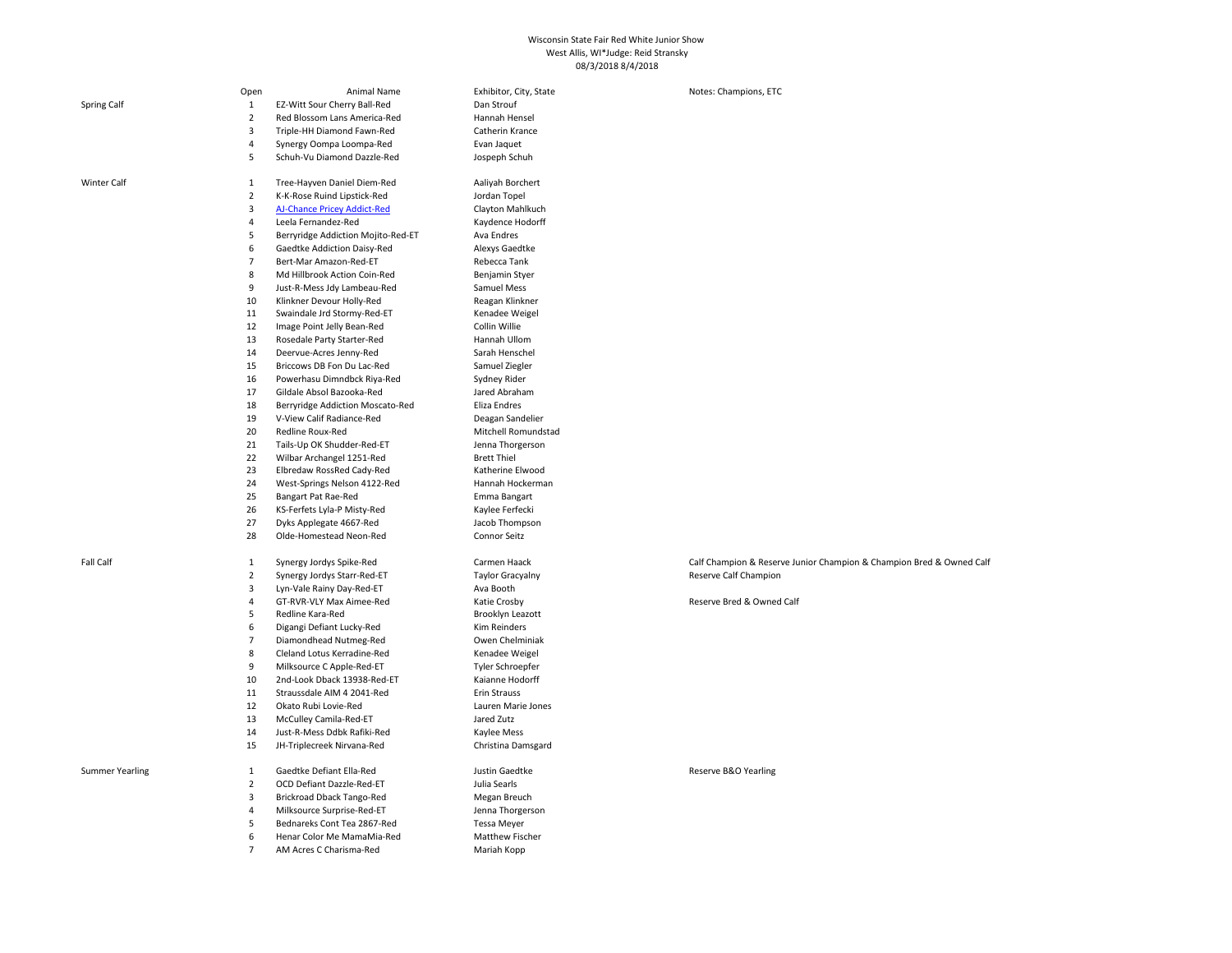## Wisconsin State Fair Red White Junior Show West Allis, WI\*Judge: Reid Stransky 08/3/2018 8/4/2018

|                        | Open                | Animal Name                                               | Exhibitor, City, State           | Notes: Champions, ETC                                                |
|------------------------|---------------------|-----------------------------------------------------------|----------------------------------|----------------------------------------------------------------------|
| Spring Calf            | $\mathbf{1}$        | EZ-Witt Sour Cherry Ball-Red                              | Dan Strouf                       |                                                                      |
|                        | $\overline{2}$      | Red Blossom Lans America-Red                              | Hannah Hensel                    |                                                                      |
|                        | 3                   | Triple-HH Diamond Fawn-Red                                | Catherin Krance                  |                                                                      |
|                        | $\overline{4}$      | Synergy Oompa Loompa-Red                                  | Evan Jaquet                      |                                                                      |
|                        | 5                   | Schuh-Vu Diamond Dazzle-Red                               | Jospeph Schuh                    |                                                                      |
| <b>Winter Calf</b>     | 1                   | Tree-Hayven Daniel Diem-Red                               | Aaliyah Borchert                 |                                                                      |
|                        | $\overline{2}$      | K-K-Rose Ruind Lipstick-Red                               | Jordan Topel                     |                                                                      |
|                        | 3                   | AJ-Chance Pricey Addict-Red                               | Clayton Mahlkuch                 |                                                                      |
|                        | $\overline{4}$      | Leela Fernandez-Red                                       | Kaydence Hodorff                 |                                                                      |
|                        | 5                   | Berryridge Addiction Mojito-Red-ET                        | Ava Endres                       |                                                                      |
|                        | 6                   | Gaedtke Addiction Daisy-Red                               | Alexys Gaedtke                   |                                                                      |
|                        | $\overline{7}$      | Bert-Mar Amazon-Red-ET                                    | Rebecca Tank                     |                                                                      |
|                        | 8                   | Md Hillbrook Action Coin-Red                              | Benjamin Styer                   |                                                                      |
|                        | 9                   | Just-R-Mess Jdy Lambeau-Red                               | Samuel Mess                      |                                                                      |
|                        | 10                  | Klinkner Devour Holly-Red                                 | Reagan Klinkner                  |                                                                      |
|                        | 11                  | Swaindale Jrd Stormy-Red-ET                               | Kenadee Weigel                   |                                                                      |
|                        | 12                  | Image Point Jelly Bean-Red                                | Collin Willie                    |                                                                      |
|                        | 13                  | Rosedale Party Starter-Red                                | Hannah Ullom                     |                                                                      |
|                        | 14                  | Deervue-Acres Jenny-Red                                   | Sarah Henschel                   |                                                                      |
|                        | 15                  | Briccows DB Fon Du Lac-Red                                | Samuel Ziegler                   |                                                                      |
|                        | 16                  | Powerhasu Dimndbck Riya-Red                               | Sydney Rider                     |                                                                      |
|                        | 17                  | Gildale Absol Bazooka-Red                                 | Jared Abraham                    |                                                                      |
|                        | 18                  | Berryridge Addiction Moscato-Red                          | Eliza Endres                     |                                                                      |
|                        | 19                  | V-View Calif Radiance-Red                                 | Deagan Sandelier                 |                                                                      |
|                        | 20                  | Redline Roux-Red                                          | Mitchell Romundstad              |                                                                      |
|                        | 21                  | Tails-Up OK Shudder-Red-ET                                | Jenna Thorgerson                 |                                                                      |
|                        | 22                  | Wilbar Archangel 1251-Red                                 | <b>Brett Thiel</b>               |                                                                      |
|                        | 23                  | Elbredaw RossRed Cady-Red                                 | Katherine Elwood                 |                                                                      |
|                        | 24                  | West-Springs Nelson 4122-Red                              | Hannah Hockerman                 |                                                                      |
|                        | 25                  | Bangart Pat Rae-Red                                       | Emma Bangart                     |                                                                      |
|                        | 26                  | KS-Ferfets Lyla-P Misty-Red                               | Kaylee Ferfecki                  |                                                                      |
|                        | 27                  | Dyks Applegate 4667-Red                                   | Jacob Thompson                   |                                                                      |
|                        | 28                  | Olde-Homestead Neon-Red                                   | Connor Seitz                     |                                                                      |
| Fall Calf              | 1                   | Synergy Jordys Spike-Red                                  | Carmen Haack                     | Calf Champion & Reserve Junior Champion & Champion Bred & Owned Calf |
|                        | $\overline{2}$      | Synergy Jordys Starr-Red-ET                               | <b>Taylor Gracyalny</b>          | Reserve Calf Champion                                                |
|                        | 3                   | Lyn-Vale Rainy Day-Red-ET                                 | Ava Booth                        |                                                                      |
|                        | $\overline{4}$      | GT-RVR-VLY Max Aimee-Red                                  | Katie Crosby                     | Reserve Bred & Owned Calf                                            |
|                        | 5                   | Redline Kara-Red                                          | Brooklyn Leazott                 |                                                                      |
|                        | 6                   | Digangi Defiant Lucky-Red                                 | Kim Reinders                     |                                                                      |
|                        | $\overline{7}$      | Diamondhead Nutmeg-Red                                    | Owen Chelminiak                  |                                                                      |
|                        | 8                   | Cleland Lotus Kerradine-Red                               | Kenadee Weigel                   |                                                                      |
|                        | 9                   | Milksource C Apple-Red-ET                                 | Tyler Schroepfer                 |                                                                      |
|                        | 10<br>11            | 2nd-Look Dback 13938-Red-ET<br>Straussdale AIM 4 2041-Red | Kaianne Hodorff<br>Erin Strauss  |                                                                      |
|                        | 12                  |                                                           |                                  |                                                                      |
|                        | 13                  | Okato Rubi Lovie-Red<br>McCulley Camila-Red-ET            | Lauren Marie Jones<br>Jared Zutz |                                                                      |
|                        | 14                  | Just-R-Mess Ddbk Rafiki-Red                               | Kaylee Mess                      |                                                                      |
|                        | 15                  | JH-Triplecreek Nirvana-Red                                | Christina Damsgard               |                                                                      |
|                        |                     |                                                           |                                  |                                                                      |
| <b>Summer Yearling</b> | 1<br>$\overline{2}$ | Gaedtke Defiant Ella-Red<br>OCD Defiant Dazzle-Red-ET     | Justin Gaedtke<br>Julia Searls   | Reserve B&O Yearling                                                 |
|                        | 3                   | Brickroad Dback Tango-Red                                 | Megan Breuch                     |                                                                      |
|                        | $\overline{4}$      | Milksource Surprise-Red-ET                                | Jenna Thorgerson                 |                                                                      |
|                        | 5                   | Bednareks Cont Tea 2867-Red                               | <b>Tessa Meyer</b>               |                                                                      |
|                        | 6                   | Henar Color Me MamaMia-Red                                | Matthew Fischer                  |                                                                      |
|                        | $\overline{7}$      | AM Acres C Charisma-Red                                   | Mariah Kopp                      |                                                                      |
|                        |                     |                                                           |                                  |                                                                      |